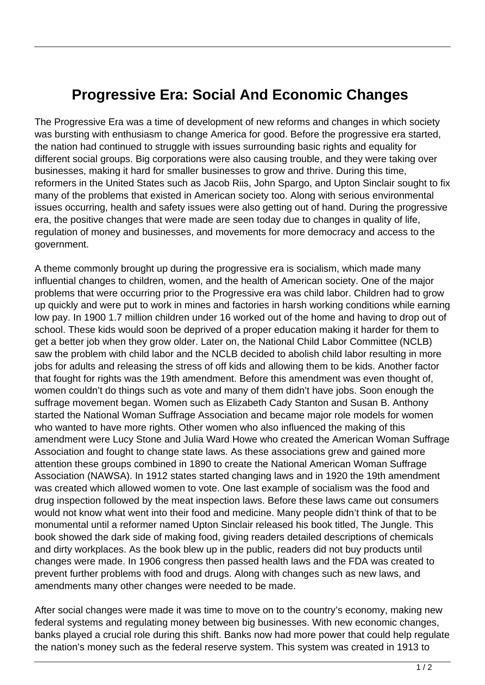## **Progressive Era: Social And Economic Changes**

The Progressive Era was a time of development of new reforms and changes in which society was bursting with enthusiasm to change America for good. Before the progressive era started, the nation had continued to struggle with issues surrounding basic rights and equality for different social groups. Big corporations were also causing trouble, and they were taking over businesses, making it hard for smaller businesses to grow and thrive. During this time, reformers in the United States such as Jacob Riis, John Spargo, and Upton Sinclair sought to fix many of the problems that existed in American society too. Along with serious environmental issues occurring, health and safety issues were also getting out of hand. During the progressive era, the positive changes that were made are seen today due to changes in quality of life, regulation of money and businesses, and movements for more democracy and access to the government.

A theme commonly brought up during the progressive era is socialism, which made many influential changes to children, women, and the health of American society. One of the major problems that were occurring prior to the Progressive era was child labor. Children had to grow up quickly and were put to work in mines and factories in harsh working conditions while earning low pay. In 1900 1.7 million children under 16 worked out of the home and having to drop out of school. These kids would soon be deprived of a proper education making it harder for them to get a better job when they grow older. Later on, the National Child Labor Committee (NCLB) saw the problem with child labor and the NCLB decided to abolish child labor resulting in more jobs for adults and releasing the stress of off kids and allowing them to be kids. Another factor that fought for rights was the 19th amendment. Before this amendment was even thought of, women couldn't do things such as vote and many of them didn't have jobs. Soon enough the suffrage movement began. Women such as Elizabeth Cady Stanton and Susan B. Anthony started the National Woman Suffrage Association and became major role models for women who wanted to have more rights. Other women who also influenced the making of this amendment were Lucy Stone and Julia Ward Howe who created the American Woman Suffrage Association and fought to change state laws. As these associations grew and gained more attention these groups combined in 1890 to create the National American Woman Suffrage Association (NAWSA). In 1912 states started changing laws and in 1920 the 19th amendment was created which allowed women to vote. One last example of socialism was the food and drug inspection followed by the meat inspection laws. Before these laws came out consumers would not know what went into their food and medicine. Many people didn't think of that to be monumental until a reformer named Upton Sinclair released his book titled, The Jungle. This book showed the dark side of making food, giving readers detailed descriptions of chemicals and dirty workplaces. As the book blew up in the public, readers did not buy products until changes were made. In 1906 congress then passed health laws and the FDA was created to prevent further problems with food and drugs. Along with changes such as new laws, and amendments many other changes were needed to be made.

After social changes were made it was time to move on to the country's economy, making new federal systems and regulating money between big businesses. With new economic changes, banks played a crucial role during this shift. Banks now had more power that could help regulate the nation's money such as the federal reserve system. This system was created in 1913 to